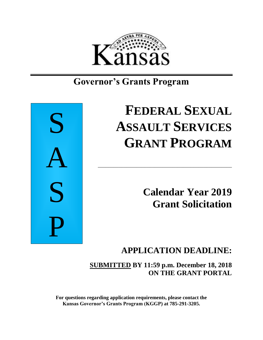

# **Governor's Grants Program**



# **FEDERAL SEXUAL ASSAULT SERVICES GRANT PROGRAM**

\_\_\_\_\_\_\_\_\_\_\_\_\_\_\_\_\_\_\_\_\_\_\_\_\_\_\_\_\_\_\_\_\_\_\_\_\_\_\_\_\_\_\_\_\_\_\_\_\_\_\_\_

**Calendar Year 2019 Grant Solicitation**

## **APPLICATION DEADLINE:**

**SUBMITTED BY 11:59 p.m. December 18, 2018 ON THE GRANT PORTAL**

**For questions regarding application requirements, please contact the Kansas Governor's Grants Program (KGGP) at 785-291-3205.**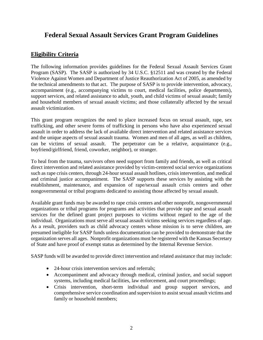## **Federal Sexual Assault Services Grant Program Guidelines**

## **Eligibility Criteria**

The following information provides guidelines for the Federal Sexual Assault Services Grant Program (SASP). The SASP is authorized by 34 U.S.C. §12511 and was created by the Federal Violence Against Women and Department of Justice Reauthorization Act of 2005, as amended by the technical amendments to that act. The purpose of SASP is to provide intervention, advocacy, accompaniment (e.g., accompanying victims to court, medical facilities, police departments), support services, and related assistance to adult, youth, and child victims of sexual assault; family and household members of sexual assault victims; and those collaterally affected by the sexual assault victimization.

This grant program recognizes the need to place increased focus on sexual assault, rape, sex trafficking, and other severe forms of trafficking in persons who have also experienced sexual assault in order to address the lack of available direct intervention and related assistance services and the unique aspects of sexual assault trauma. Women and men of all ages, as well as children, can be victims of sexual assault. The perpetrator can be a relative, acquaintance (e.g., boyfriend/girlfriend, friend, coworker, neighbor), or stranger.

To heal from the trauma, survivors often need support from family and friends, as well as critical direct intervention and related assistance provided by victim-centered social service organizations such as rape crisis centers, through 24-hour sexual assault hotlines, crisis intervention, and medical and criminal justice accompaniment. The SASP supports these services by assisting with the establishment, maintenance, and expansion of rape/sexual assault crisis centers and other nongovernmental or tribal programs dedicated to assisting those affected by sexual assault.

Available grant funds may be awarded to rape crisis centers and other nonprofit, nongovernmental organizations or tribal programs for programs and activities that provide rape and sexual assault services for the defined grant project purposes to victims without regard to the age of the individual. Organizations must serve all sexual assault victims seeking services regardless of age. As a result, providers such as child advocacy centers whose mission is to serve children, are presumed ineligible for SASP funds unless documentation can be provided to demonstrate that the organization serves all ages. Nonprofit organizations must be registered with the Kansas Secretary of State and have proof of exempt status as determined by the Internal Revenue Service.

SASP funds will be awarded to provide direct intervention and related assistance that may include:

- 24-hour crisis intervention services and referrals:
- Accompaniment and advocacy through medical, criminal justice, and social support systems, including medical facilities, law enforcement, and court proceedings;
- Crisis intervention, short-term individual and group support services, and comprehensive service coordination and supervision to assist sexual assault victims and family or household members;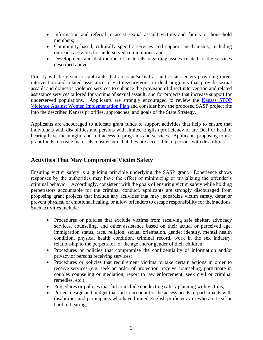- Information and referral to assist sexual assault victims and family or household members;
- Community-based, culturally specific services and support mechanisms, including outreach activities for underserved communities; and
- Development and distribution of materials regarding issues related to the services described above.

Priority will be given to applicants that are rape/sexual assault crisis centers providing direct intervention and related assistance to victims/survivors; to dual programs that provide sexual assault and domestic violence services to enhance the provision of direct intervention and related assistance services tailored for victims of sexual assault; and for projects that increase support for underserved populations. Applicants are strongly encouraged to review the [Kansas STOP](http://www.grants.ks.gov/opportunities/federal-s-t-o-p-violence-against-women-grant-(s-t-o-p-vawa))  [Violence Against Women Implementation Plan](http://www.grants.ks.gov/opportunities/federal-s-t-o-p-violence-against-women-grant-(s-t-o-p-vawa)) and consider how the proposed SASP project fits into the described Kansas priorities, approaches, and goals of the State Strategy.

Applicants are encouraged to allocate grant funds to support activities that help to ensure that individuals with disabilities and persons with limited English proficiency or are Deaf or hard of hearing have meaningful and full access to programs and services. Applicants proposing to use grant funds to create materials must ensure that they are accessible to persons with disabilities.

## **Activities That May Compromise Victim Safety**

Ensuring victim safety is a guiding principle underlying the SASP grant. Experience shows responses by the authorities may have the effect of minimizing or trivializing the offender's criminal behavior. Accordingly, consistent with the goals of ensuring victim safety while holding perpetrators accountable for the criminal conduct, applicants are strongly discouraged from proposing grant projects that include any activities that may jeopardize victim safety, deter or prevent physical or emotional healing, or allow offenders to escape responsibility for their actions. Such activities include:

- Procedures or policies that exclude victims from receiving safe shelter, advocacy services, counseling, and other assistance based on their actual or perceived age, immigration status, race, religion, sexual orientation, gender identity, mental health condition, physical health condition, criminal record, work in the sex industry, relationship to the perpetrator, or the age and/or gender of their children;
- Procedures or policies that compromise the confidentiality of information and/or privacy of persons receiving services;
- Procedures or policies that requirement victims to take certain actions in order to receive services (e.g. seek an order of protection, receive counseling, participate in couples counseling or mediation, report to law enforcement, seek civil or criminal remedies, etc.);
- Procedures or policies that fail to include conducting safety planning with victims;
- Project design and budget that fail to account for the access needs of participants with disabilities and participants who have limited English proficiency or who are Deaf or hard of hearing;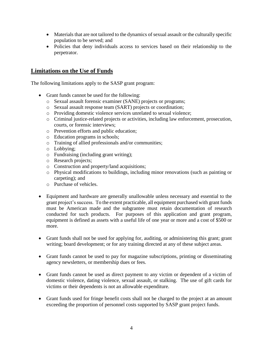- Materials that are not tailored to the dynamics of sexual assault or the culturally specific population to be served; and
- Policies that deny individuals access to services based on their relationship to the perpetrator.

## **Limitations on the Use of Funds**

The following limitations apply to the SASP grant program:

- Grant funds cannot be used for the following:
	- o Sexual assault forensic examiner (SANE) projects or programs;
	- o Sexual assault response team (SART) projects or coordination;
	- o Providing domestic violence services unrelated to sexual violence;
	- o Criminal justice-related projects or activities, including law enforcement, prosecution, courts, or forensic interviews;
	- o Prevention efforts and public education;
	- o Education programs in schools;
	- o Training of allied professionals and/or communities;
	- o Lobbying;
	- o Fundraising (including grant writing);
	- o Research projects;
	- o Construction and property/land acquisitions;
	- o Physical modifications to buildings, including minor renovations (such as painting or carpeting); and
	- o Purchase of vehicles.
- Equipment and hardware are generally unallowable unless necessary and essential to the grant project's success. To the extent practicable, all equipment purchased with grant funds must be American made and the subgrantee must retain documentation of research conducted for such products. For purposes of this application and grant program, equipment is defined as assets with a useful life of one year or more and a cost of \$500 or more.
- Grant funds shall not be used for applying for, auditing, or administering this grant; grant writing; board development; or for any training directed at any of these subject areas.
- Grant funds cannot be used to pay for magazine subscriptions, printing or disseminating agency newsletters, or membership dues or fees.
- Grant funds cannot be used as direct payment to any victim or dependent of a victim of domestic violence, dating violence, sexual assault, or stalking. The use of gift cards for victims or their dependents is not an allowable expenditure.
- Grant funds used for fringe benefit costs shall not be charged to the project at an amount exceeding the proportion of personnel costs supported by SASP grant project funds.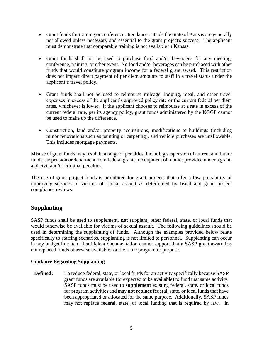- Grant funds for training or conference attendance outside the State of Kansas are generally not allowed unless necessary and essential to the grant project's success. The applicant must demonstrate that comparable training is not available in Kansas.
- Grant funds shall not be used to purchase food and/or beverages for any meeting, conference, training, or other event. No food and/or beverages can be purchased with other funds that would constitute program income for a federal grant award. This restriction does not impact direct payment of per diem amounts to staff in a travel status under the applicant's travel policy.
- Grant funds shall not be used to reimburse mileage, lodging, meal, and other travel expenses in excess of the applicant's approved policy rate or the current federal per diem rates, whichever is lower. If the applicant chooses to reimburse at a rate in excess of the current federal rate, per its agency policy, grant funds administered by the KGGP cannot be used to make up the difference.
- Construction, land and/or property acquisitions, modifications to buildings (including minor renovations such as painting or carpeting), and vehicle purchases are unallowable. This includes mortgage payments.

Misuse of grant funds may result in a range of penalties, including suspension of current and future funds, suspension or debarment from federal grants, recoupment of monies provided under a grant, and civil and/or criminal penalties.

The use of grant project funds is prohibited for grant projects that offer a low probability of improving services to victims of sexual assault as determined by fiscal and grant project compliance reviews.

## **Supplanting**

SASP funds shall be used to supplement, **not** supplant, other federal, state, or local funds that would otherwise be available for victims of sexual assault. The following guidelines should be used in determining the supplanting of funds. Although the examples provided below relate specifically to staffing scenarios, supplanting is not limited to personnel. Supplanting can occur in any budget line item if sufficient documentation cannot support that a SASP grant award has not replaced funds otherwise available for the same program or purpose.

#### **Guidance Regarding Supplanting**

**Defined:** To reduce federal, state, or local funds for an activity specifically because SASP grant funds are available (or expected to be available) to fund that same activity. SASP funds must be used to **supplement** existing federal, state, or local funds for program activities and may **not replace** federal, state, or local funds that have been appropriated or allocated for the same purpose. Additionally, SASP funds may not replace federal, state, or local funding that is required by law. In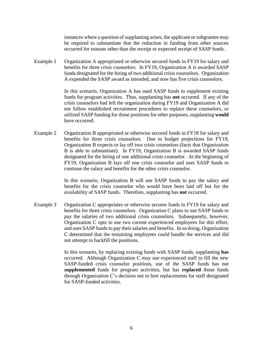instances where a question of supplanting arises, the applicant or subgrantee may be required to substantiate that the reduction in funding from other sources occurred for reasons other than the receipt or expected receipt of SASP funds.

Example 1 Organization A appropriated or otherwise secured funds in FY19 for salary and benefits for three crisis counselors. In FY19, Organization A is awarded SASP funds designated for the hiring of two additional crisis counselors. Organization A expended the SASP award as intended, and now has five crisis counselors.

> In this scenario, Organization A has used SASP funds to supplement existing funds for program activities. Thus, supplanting has **not** occurred. If any of the crisis counselors had left the organization during FY19 and Organization A did not follow established recruitment procedures to replace these counselors, or utilized SASP funding for those positions for other purposes, supplanting **would** have occurred.

Example 2 Organization B appropriated or otherwise secured funds in FY18 for salary and benefits for three crisis counselors. Due to budget projections for FY19, Organization B expects to lay off two crisis counselors (facts that Organization B is able to substantiate). In FY19, Organization B is awarded SASP funds designated for the hiring of one additional crisis counselor. At the beginning of FY19, Organization B lays off one crisis counselor and uses SASP funds to continue the salary and benefits for the other crisis counselor.

> In this scenario, Organization B will use SASP funds to pay the salary and benefits for the crisis counselor who would have been laid off but for the availability of SASP funds. Therefore, supplanting has **not** occurred.

Example 3 Organization C appropriates or otherwise secures funds in FY19 for salary and benefits for three crisis counselors. Organization C plans to use SASP funds to pay the salaries of two additional crisis counselors. Subsequently, however, Organization C opts to use two current experienced employees for this effort, and uses SASP funds to pay their salaries and benefits. In so doing, Organization C determined that the remaining employees could handle the services and did not attempt to backfill the positions.

> In this scenario, by replacing existing funds with SASP funds, supplanting **has** occurred. Although Organization C may use experienced staff to fill the new SASP-funded crisis counselor positions, use of the SASP funds has not **supplemented** funds for program activities, but has **replaced** those funds through Organization C's decision not to hire replacements for staff designated for SASP-funded activities.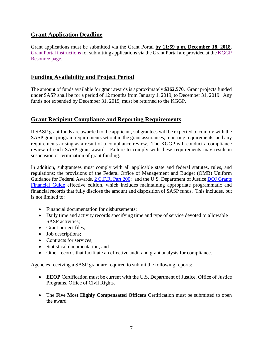## **Grant Application Deadline**

Grant applications must be submitted via the Grant Portal **by 11:59 p.m. December 18, 2018.** [Grant Portal instructions](http://grants.ks.gov/docs/default-source/how-to-guides/application-portal-instructions.pdf?sfvrsn=4) for submitting applications via the Grant Portal are provided at the [KGGP](http://www.grants.ks.gov/resources/getting-started)  [Resource page.](http://www.grants.ks.gov/resources/getting-started)

## **Funding Availability and Project Period**

The amount of funds available for grant awards is approximately **\$362,570**. Grant projects funded under SASP shall be for a period of 12 months from January 1, 2019, to December 31, 2019. Any funds not expended by December 31, 2019, must be returned to the KGGP.

## **Grant Recipient Compliance and Reporting Requirements**

If SASP grant funds are awarded to the applicant, subgrantees will be expected to comply with the SASP grant program requirements set out in the grant assurances, reporting requirements, and any requirements arising as a result of a compliance review. The KGGP will conduct a compliance review of each SASP grant award. Failure to comply with these requirements may result in suspension or termination of grant funding.

In addition, subgrantees must comply with all applicable state and federal statutes, rules, and regulations; the provisions of the Federal Office of Management and Budget (OMB) Uniform Guidance for Federal Awards, [2 C.F.R.](http://www.ecfr.gov/cgi-bin/text-idx?SID=2c6d1c9f8de1f9619110b4599d84a234&mc=true&node=pt2.1.200&rgn=div5#_top) Part 200; and the U.S. Department of Justice DOJ Grants [Financial Guide](http://ojp.gov/financialguide/DOJ/index.htm) effective edition, which includes maintaining appropriate programmatic and financial records that fully disclose the amount and disposition of SASP funds. This includes, but is not limited to:

- Financial documentation for disbursements;
- Daily time and activity records specifying time and type of service devoted to allowable SASP activities;
- Grant project files;
- Job descriptions;
- Contracts for services:
- Statistical documentation: and
- Other records that facilitate an effective audit and grant analysis for compliance.

Agencies receiving a SASP grant are required to submit the following reports:

- **EEOP** Certification must be current with the U.S. Department of Justice, Office of Justice Programs, Office of Civil Rights.
- The **Five Most Highly Compensated Officers** Certification must be submitted to open the award.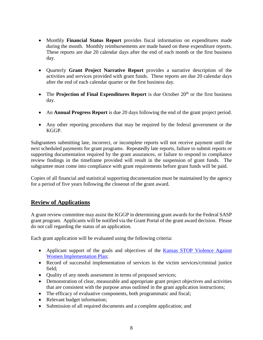- Monthly **Financial Status Report** provides fiscal information on expenditures made during the month. Monthly reimbursements are made based on these expenditure reports. These reports are due 20 calendar days after the end of each month or the first business day.
- Quarterly **Grant Project Narrative Report** provides a narrative description of the activities and services provided with grant funds. These reports are due 20 calendar days after the end of each calendar quarter or the first business day.
- The **Projection of Final Expenditures Report** is due October 20<sup>th</sup> or the first business day.
- An **Annual Progress Report** is due 20 days following the end of the grant project period.
- Any other reporting procedures that may be required by the federal government or the KGGP.

Subgrantees submitting late, incorrect, or incomplete reports will not receive payment until the next scheduled payments for grant programs. Repeatedly late reports, failure to submit reports or supporting documentation required by the grant assurances, or failure to respond to compliance review findings in the timeframe provided will result in the suspension of grant funds. The subgrantee must come into compliance with grant requirements before grant funds will be paid.

Copies of all financial and statistical supporting documentation must be maintained by the agency for a period of five years following the closeout of the grant award.

## **Review of Applications**

A grant review committee may assist the KGGP in determining grant awards for the Federal SASP grant program. Applicants will be notified via the Grant Portal of the grant award decision. Please do not call regarding the status of an application.

Each grant application will be evaluated using the following criteria:

- Applicant support of the goals and objectives of the Kansas STOP Violence Against [Women Implementation Plan;](http://www.grants.ks.gov/docs/default-source/Grant-Reports/final-ffy-2017-2020-stop-vawa-implementation-plan.pdf?sfvrsn=2)
- Record of successful implementation of services in the victim services/criminal justice field;
- Quality of any needs assessment in terms of proposed services;
- Demonstration of clear, measurable and appropriate grant project objectives and activities that are consistent with the purpose areas outlined in the grant application instructions;
- The efficacy of evaluative components, both programmatic and fiscal;
- Relevant budget information;
- Submission of all required documents and a complete application; and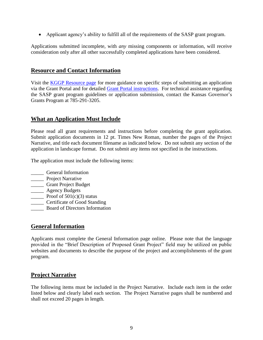• Applicant agency's ability to fulfill all of the requirements of the SASP grant program.

Applications submitted incomplete, with *any* missing components or information, will receive consideration only after all other successfully completed applications have been considered.

## **Resource and Contact Information**

Visit the [KGGP Resource page](http://www.grants.ks.gov/resources/getting-started) for more guidance on specific steps of submitting an application via the Grant Portal and for detailed [Grant Portal instructions.](http://grants.ks.gov/docs/default-source/how-to-guides/application-portal-instructions.pdf?sfvrsn=4) For technical assistance regarding the SASP grant program guidelines or application submission, contact the Kansas Governor's Grants Program at 785-291-3205.

## **What an Application Must Include**

Please read all grant requirements and instructions before completing the grant application. Submit application documents in 12 pt. Times New Roman, number the pages of the Project Narrative, and title each document filename as indicated below. Do not submit any section of the application in landscape format. Do not submit any items not specified in the instructions.

The application must include the following items:

- \_\_\_\_\_ General Information
- **\_\_\_\_\_** Project Narrative
- \_\_\_\_\_ Grant Project Budget
- \_\_\_\_\_ Agency Budgets
- Proof of  $501(c)(3)$  status
- \_\_\_\_\_ Certificate of Good Standing
- \_\_\_\_\_ Board of Directors Information

## **General Information**

Applicants must complete the General Information page online. Please note that the language provided in the "Brief Description of Proposed Grant Project" field may be utilized on public websites and documents to describe the purpose of the project and accomplishments of the grant program.

## **Project Narrative**

The following items must be included in the Project Narrative. Include each item in the order listed below and clearly label each section. The Project Narrative pages shall be numbered and shall not exceed 20 pages in length.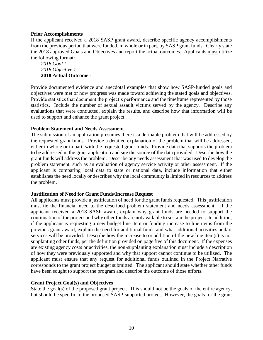#### **Prior Accomplishments**

If the applicant received a 2018 SASP grant award, describe specific agency accomplishments from the previous period that were funded, in whole or in part, by SASP grant funds. Clearly state the 2018 approved Goals and Objectives and report the actual outcomes. Applicants must utilize the following format:

*2018 Goal I – 2018 Objective 1 –* **2018 Actual Outcome -**

Provide documented evidence and anecdotal examples that show how SASP-funded goals and objectives were met or how progress was made toward achieving the stated goals and objectives. Provide statistics that document the project's performance and the timeframe represented by those statistics. Include the number of sexual assault victims served by the agency. Describe any evaluations that were conducted, explain the results, and describe how that information will be used to support and enhance the grant project.

#### **Problem Statement and Needs Assessment**

The submission of an application presumes there is a definable problem that will be addressed by the requested grant funds. Provide a detailed explanation of the problem that will be addressed, either in whole or in part, with the requested grant funds. Provide data that supports the problem to be addressed in the grant application and site the source of the data provided. Describe how the grant funds will address the problem. Describe any needs assessment that was used to develop the problem statement, such as an evaluation of agency service activity or other assessment. If the applicant is comparing local data to state or national data, include information that either establishes the need locally or describes why the local community is limited in resources to address the problem.

#### **Justification of Need for Grant Funds/Increase Request**

All applicants must provide a justification of need for the grant funds requested. This justification must tie the financial need to the described problem statement and needs assessment. If the applicant received a 2018 SASP award, explain why grant funds are needed to support the continuation of the project and why other funds are not available to sustain the project. In addition, if the applicant is requesting a new budget line item or funding increase to line items from the previous grant award, explain the need for additional funds and what additional activities and/or services will be provided. Describe how the increase to or addition of the new line item(s) is not supplanting other funds, per the definition provided on page five of this document. If the expenses are existing agency costs or activities, the non-supplanting explanation must include a description of how they were previously supported and why that support cannot continue to be utilized. The applicant must ensure that any request for additional funds outlined in the Project Narrative corresponds to the grant project budget submitted. The applicant should state whether other funds have been sought to support the program and describe the outcome of those efforts.

#### **Grant Project Goal(s) and Objectives**

State the goal(s) of the proposed grant project. This should not be the goals of the entire agency, but should be specific to the proposed SASP-supported project. However, the goals for the grant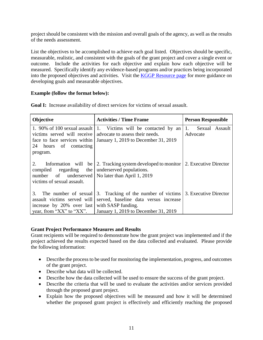project should be consistent with the mission and overall goals of the agency, as well as the results of the needs assessment.

List the objectives to be accomplished to achieve each goal listed. Objectives should be specific, measurable, realistic, and consistent with the goals of the grant project and cover a single event or outcome. Include the activities for each objective and explain how each objective will be measured. Specifically identify any evidence-based programs and/or practices being incorporated into the proposed objectives and activities. Visit the [KGGP Resource page](http://www.grants.ks.gov/resources/getting-started) for more guidance on developing goals and measurable objectives.

#### **Example (follow the format below):**

| <b>Objective</b>                                                                                                   | <b>Activities / Time Frame</b>                                                                                                                 | <b>Person Responsible</b>        |  |
|--------------------------------------------------------------------------------------------------------------------|------------------------------------------------------------------------------------------------------------------------------------------------|----------------------------------|--|
| victims served will receive<br>face to face services within<br>24 hours of contacting<br>program.                  | 1. 90% of 100 sexual assault   1. Victims will be contacted by an<br>advocate to assess their needs.<br>January 1, 2019 to December 31, 2019   | Sexual Assault<br>1.<br>Advocate |  |
| 2.<br>compiled regarding the underserved populations.<br>number of<br>victims of sexual assault.                   | Information will be $\vert$ 2. Tracking system developed to monitor $\vert$ 2. Executive Director<br>underserved   No later than April 1, 2019 |                                  |  |
| 3.<br>The number of sexual<br>assault victims served will<br>increase by 20% over last<br>year, from "XX" to "XX". | 3. Tracking of the number of victims<br>served, baseline data versus increase<br>with SASP funding.<br>January 1, 2019 to December 31, 2019    | 3. Executive Director            |  |

**Goal I:** Increase availability of direct services for victims of sexual assault.

#### **Grant Project Performance Measures and Results**

Grant recipients will be required to demonstrate how the grant project was implemented and if the project achieved the results expected based on the data collected and evaluated. Please provide the following information:

- Describe the process to be used for monitoring the implementation, progress, and outcomes of the grant project.
- Describe what data will be collected.
- Describe how the data collected will be used to ensure the success of the grant project.
- Describe the criteria that will be used to evaluate the activities and/or services provided through the proposed grant project.
- Explain how the proposed objectives will be measured and how it will be determined whether the proposed grant project is effectively and efficiently reaching the proposed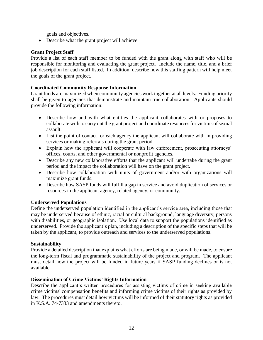goals and objectives.

• Describe what the grant project will achieve.

#### **Grant Project Staff**

Provide a list of each staff member to be funded with the grant along with staff who will be responsible for monitoring and evaluating the grant project. Include the name, title, and a brief job description for each staff listed. In addition, describe how this staffing pattern will help meet the goals of the grant project.

#### **Coordinated Community Response Information**

Grant funds are maximized when community agencies work together at all levels. Funding priority shall be given to agencies that demonstrate and maintain true collaboration. Applicants should provide the following information:

- Describe how and with what entities the applicant collaborates with or proposes to collaborate with to carry out the grant project and coordinate resources for victims of sexual assault.
- List the point of contact for each agency the applicant will collaborate with in providing services or making referrals during the grant period.
- Explain how the applicant will cooperate with law enforcement, prosecuting attorneys' offices, courts, and other governmental or nonprofit agencies.
- Describe any new collaborative efforts that the applicant will undertake during the grant period and the impact the collaboration will have on the grant project.
- Describe how collaboration with units of government and/or with organizations will maximize grant funds.
- Describe how SASP funds will fulfill a gap in service and avoid duplication of services or resources in the applicant agency, related agency, or community.

#### **Underserved Populations**

Define the underserved population identified in the applicant's service area, including those that may be underserved because of ethnic, racial or cultural background, language diversity, persons with disabilities, or geographic isolation. Use local data to support the populations identified as underserved. Provide the applicant's plan, including a description of the specific steps that will be taken by the applicant, to provide outreach and services to the underserved populations.

#### **Sustainability**

Provide a detailed description that explains what efforts are being made, or will be made, to ensure the long-term fiscal and programmatic sustainability of the project and program. The applicant must detail how the project will be funded in future years if SASP funding declines or is not available.

#### **Dissemination of Crime Victims' Rights Information**

Describe the applicant's written procedures for assisting victims of crime in seeking available crime victims' compensation benefits and informing crime victims of their rights as provided by law. The procedures must detail how victims will be informed of their statutory rights as provided in K.S.A. 74-7333 and amendments thereto.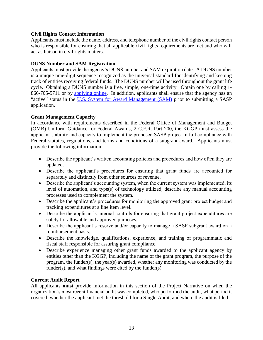#### **Civil Rights Contact Information**

Applicants must include the name, address, and telephone number of the civil rights contact person who is responsible for ensuring that all applicable civil rights requirements are met and who will act as liaison in civil rights matters.

#### **DUNS Number and SAM Registration**

Applicants must provide the agency's DUNS number and SAM expiration date. A DUNS number is a unique nine-digit sequence recognized as the universal standard for identifying and keeping track of entities receiving federal funds. The DUNS number will be used throughout the grant life cycle. Obtaining a DUNS number is a free, simple, one-time activity. Obtain one by calling 1 866-705-5711 or by [applying online.](http://www.dnb.com/us/) In addition, applicants shall ensure that the agency has an "active" status in the [U.S. System for Award Management \(SAM\)](http://www.sam.gov/) prior to submitting a SASP application.

#### **Grant Management Capacity**

In accordance with requirements described in the Federal Office of Management and Budget (OMB) Uniform Guidance for Federal Awards, 2 C.F.R. Part 200, the KGGP must assess the applicant's ability and capacity to implement the proposed SASP project in full compliance with Federal statutes, regulations, and terms and conditions of a subgrant award. Applicants must provide the following information:

- Describe the applicant's written accounting policies and procedures and how often they are updated.
- Describe the applicant's procedures for ensuring that grant funds are accounted for separately and distinctly from other sources of revenue.
- Describe the applicant's accounting system, when the current system was implemented, its level of automation, and type(s) of technology utilized; describe any manual accounting processes used to complement the system.
- Describe the applicant's procedures for monitoring the approved grant project budget and tracking expenditures at a line item level.
- Describe the applicant's internal controls for ensuring that grant project expenditures are solely for allowable and approved purposes.
- Describe the applicant's reserve and/or capacity to manage a SASP subgrant award on a reimbursement basis.
- Describe the knowledge, qualifications, experience, and training of programmatic and fiscal staff responsible for assuring grant compliance.
- Describe experience managing other grant funds awarded to the applicant agency by entities other than the KGGP, including the name of the grant program, the purpose of the program, the funder(s), the year(s) awarded, whether any monitoring was conducted by the funder(s), and what findings were cited by the funder(s).

#### **Current Audit Report**

All applicants **must** provide information in this section of the Project Narrative on when the organization's most recent financial audit was completed, who performed the audit, what period it covered, whether the applicant met the threshold for a Single Audit, and where the audit is filed.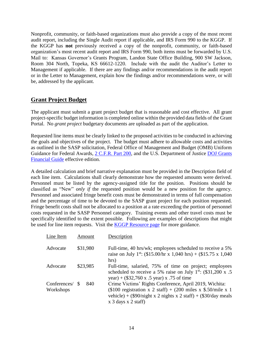Nonprofit, community, or faith-based organizations must also provide a copy of the most recent audit report, including the Single Audit report if applicable, and IRS Form 990 to the KGGP. If the KGGP has **not** previously received a copy of the nonprofit, community, or faith-based organization's most recent audit report and IRS Form 990, both items must be forwarded by U.S. Mail to: Kansas Governor's Grants Program, Landon State Office Building, 900 SW Jackson, Room 304 North, Topeka, KS 66612-1220. Include with the audit the Auditor's Letter to Management if applicable. If there are any findings and/or recommendations in the audit report or in the Letter to Management, explain how the findings and/or recommendations were, or will be, addressed by the applicant.

## **Grant Project Budget**

The applicant must submit a grant project budget that is reasonable and cost effective. All grant project-specific budget information is completed online within the provided data fields of the Grant Portal. No *grant project* budgetary documents are uploaded as part of the application.

Requested line items must be clearly linked to the proposed activities to be conducted in achieving the goals and objectives of the project. The budget must adhere to allowable costs and activities as outlined in the SASP solicitation, Federal Office of Management and Budget (OMB) Uniform Guidance for Federal Awards, 2 C.F.R. [Part 200,](http://www.ecfr.gov/cgi-bin/text-idx?SID=2c6d1c9f8de1f9619110b4599d84a234&mc=true&node=pt2.1.200&rgn=div5#_top) and the U.S. Department of Justice DOJ Grants [Financial Guide](http://ojp.gov/financialguide/DOJ/index.htm) effective edition.

A detailed calculation and brief narrative explanation must be provided in the Description field of each line item. Calculations shall clearly demonstrate how the requested amounts were derived. Personnel must be listed by the agency-assigned title for the position. Positions should be classified as "New" *only if* the requested position would be a new position for the agency. Personnel and associated fringe benefit costs must be demonstrated in terms of full compensation and the percentage of time to be devoted to the SASP grant project for each position requested. Fringe benefit costs shall not be allocated to a position at a rate exceeding the portion of personnel costs requested in the SASP Personnel category. Training events and other travel costs must be specifically identified to the extent possible. Following are examples of descriptions that might be used for line item requests. Visit the [KGGP Resource page](http://www.grants.ks.gov/resources/getting-started) for more guidance.

| Line Item                 | Amount          | Description                                                                                                                                                                                                                                            |
|---------------------------|-----------------|--------------------------------------------------------------------------------------------------------------------------------------------------------------------------------------------------------------------------------------------------------|
| Advocate                  | \$31,980        | Full-time, 40 hrs/wk; employees scheduled to receive a 5%<br>raise on July 1 <sup>st</sup> : (\$15.00/hr x 1,040 hrs) + (\$15.75 x 1,040<br>hrs)                                                                                                       |
| Advocate                  | \$23,985        | Full-time, salaried, 75% of time on project; employees<br>scheduled to receive a 5% raise on July $1^{st}$ : (\$31,200 x .5)<br>year) + $(\$32,760 \times .5 \text{ year}) \times .75 \text{ of time}$                                                 |
| Conferences/<br>Workshops | 840<br><b>S</b> | Crime Victims' Rights Conference, April 2019, Wichita:<br>(\$100 registration x 2 staff) + (200 miles x \$.50/mile x 1<br>vehicle) + $(\$90/night \ x \ 2 \text{ nights } x \ 2 \text{ staff}) + (\$30/day \ \text{meals})$<br>$x$ 3 days $x$ 2 staff) |